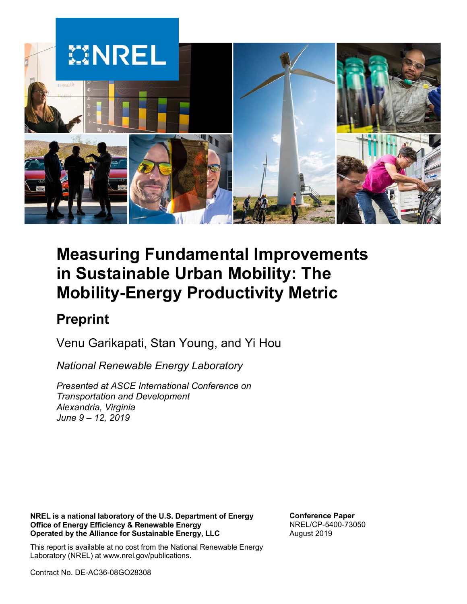

## **Measuring Fundamental Improvements in Sustainable Urban Mobility: The Mobility-Energy Productivity Metric**

### **Preprint**

Venu Garikapati, Stan Young, and Yi Hou

*National Renewable Energy Laboratory*

*Presented at ASCE International Conference on Transportation and Development Alexandria, Virginia June 9 – 12, 2019*

**NREL is a national laboratory of the U.S. Department of Energy Office of Energy Efficiency & Renewable Energy Operated by the Alliance for Sustainable Energy, LLC**

**Conference Paper** NREL/CP-5400-73050 August 2019

This report is available at no cost from the National Renewable Energy Laboratory (NREL) at www.nrel.gov/publications.

Contract No. DE-AC36-08GO28308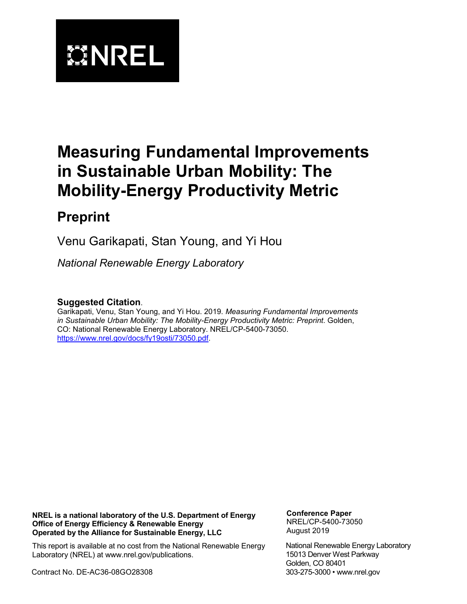

# **Measuring Fundamental Improvements in Sustainable Urban Mobility: The Mobility-Energy Productivity Metric**

## **Preprint**

Venu Garikapati, Stan Young, and Yi Hou

*National Renewable Energy Laboratory*

#### **Suggested Citation**.

Garikapati, Venu, Stan Young, and Yi Hou. 2019. *Measuring Fundamental Improvements in Sustainable Urban Mobility: The Mobility-Energy Productivity Metric: Preprint*. Golden, CO: National Renewable Energy Laboratory. NREL/CP-5400-73050. [https://www.nrel.gov/docs/fy19osti/73050.pdf.](https://www.nrel.gov/docs/fy19osti/73050.pdf)

**NREL is a national laboratory of the U.S. Department of Energy Office of Energy Efficiency & Renewable Energy Operated by the Alliance for Sustainable Energy, LLC**

This report is available at no cost from the National Renewable Energy

**Conference Paper** NREL/CP-5400-73050 August 2019

National Renewable Energy Laboratory 15013 Denver West Parkway Golden, CO 80401 303-275-3000 • www.nrel.gov

Contract No. DE-AC36-08GO28308

Laboratory (NREL) at www.nrel.gov/publications.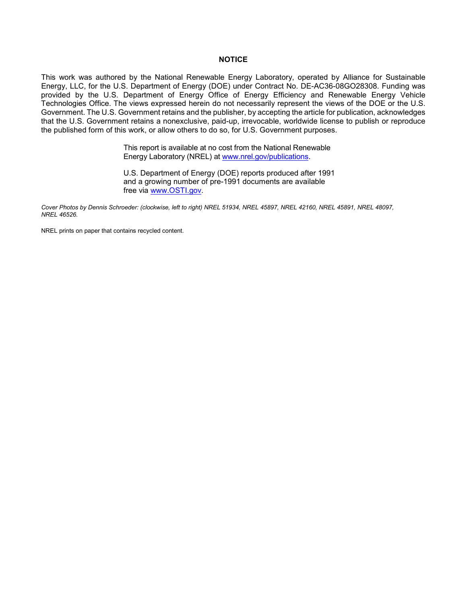#### **NOTICE**

This work was authored by the National Renewable Energy Laboratory, operated by Alliance for Sustainable Energy, LLC, for the U.S. Department of Energy (DOE) under Contract No. DE-AC36-08GO28308. Funding was provided by the U.S. Department of Energy Office of Energy Efficiency and Renewable Energy Vehicle Technologies Office. The views expressed herein do not necessarily represent the views of the DOE or the U.S. Government. The U.S. Government retains and the publisher, by accepting the article for publication, acknowledges that the U.S. Government retains a nonexclusive, paid-up, irrevocable, worldwide license to publish or reproduce the published form of this work, or allow others to do so, for U.S. Government purposes.

> This report is available at no cost from the National Renewable Energy Laboratory (NREL) at [www.nrel.gov/publications.](http://www.nrel.gov/publications)

U.S. Department of Energy (DOE) reports produced after 1991 and a growing number of pre-1991 documents are available free via [www.OSTI.gov.](http://www.osti.gov/)

*Cover Photos by Dennis Schroeder: (clockwise, left to right) NREL 51934, NREL 45897, NREL 42160, NREL 45891, NREL 48097, NREL 46526.*

NREL prints on paper that contains recycled content.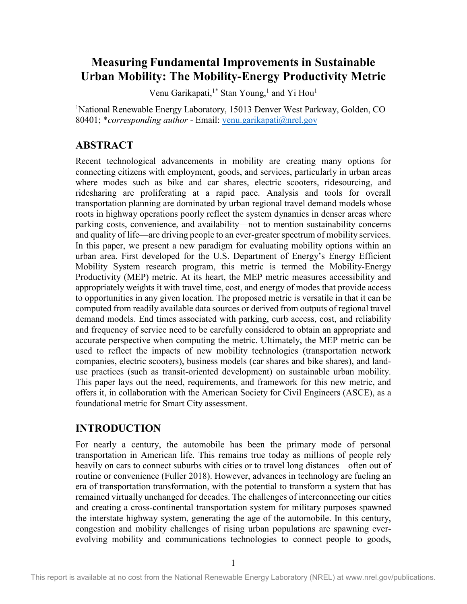### **Measuring Fundamental Improvements in Sustainable Urban Mobility: The Mobility-Energy Productivity Metric**

Venu Garikapati,<sup>1\*</sup> Stan Young,<sup>1</sup> and Yi Hou<sup>1</sup>

<sup>1</sup>National Renewable Energy Laboratory, 15013 Denver West Parkway, Golden, CO 80401; *\*corresponding author* - Email: [venu.garikapati@nrel.gov](mailto:venu.garikapati@nrel.gov)

#### **ABSTRACT**

Recent technological advancements in mobility are creating many options for connecting citizens with employment, goods, and services, particularly in urban areas where modes such as bike and car shares, electric scooters, ridesourcing, and ridesharing are proliferating at a rapid pace. Analysis and tools for overall transportation planning are dominated by urban regional travel demand models whose roots in highway operations poorly reflect the system dynamics in denser areas where parking costs, convenience, and availability—not to mention sustainability concerns and quality of life—are driving people to an ever-greater spectrum of mobility services. In this paper, we present a new paradigm for evaluating mobility options within an urban area. First developed for the U.S. Department of Energy's Energy Efficient Mobility System research program, this metric is termed the Mobility-Energy Productivity (MEP) metric. At its heart, the MEP metric measures accessibility and appropriately weights it with travel time, cost, and energy of modes that provide access to opportunities in any given location. The proposed metric is versatile in that it can be computed from readily available data sources or derived from outputs of regional travel demand models. End times associated with parking, curb access, cost, and reliability and frequency of service need to be carefully considered to obtain an appropriate and accurate perspective when computing the metric. Ultimately, the MEP metric can be used to reflect the impacts of new mobility technologies (transportation network companies, electric scooters), business models (car shares and bike shares), and landuse practices (such as transit-oriented development) on sustainable urban mobility. This paper lays out the need, requirements, and framework for this new metric, and offers it, in collaboration with the American Society for Civil Engineers (ASCE), as a foundational metric for Smart City assessment.

#### **INTRODUCTION**

For nearly a century, the automobile has been the primary mode of personal transportation in American life. This remains true today as millions of people rely heavily on cars to connect suburbs with cities or to travel long distances—often out of routine or convenience (Fuller 2018). However, advances in technology are fueling an era of transportation transformation, with the potential to transform a system that has remained virtually unchanged for decades. The challenges of interconnecting our cities and creating a cross-continental transportation system for military purposes spawned the interstate highway system, generating the age of the automobile. In this century, congestion and mobility challenges of rising urban populations are spawning everevolving mobility and communications technologies to connect people to goods,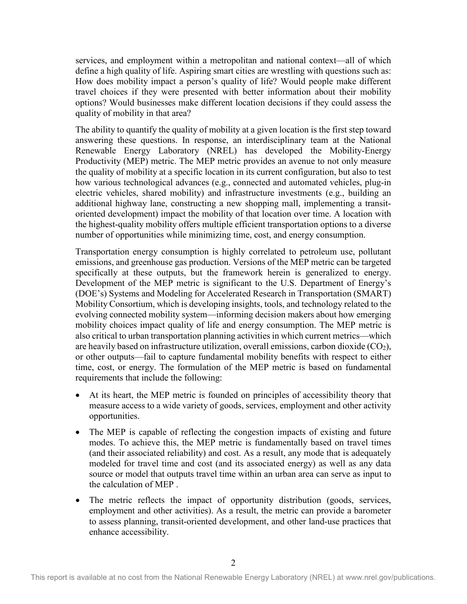services, and employment within a metropolitan and national context—all of which define a high quality of life. Aspiring smart cities are wrestling with questions such as: How does mobility impact a person's quality of life? Would people make different travel choices if they were presented with better information about their mobility options? Would businesses make different location decisions if they could assess the quality of mobility in that area?

The ability to quantify the quality of mobility at a given location is the first step toward answering these questions. In response, an interdisciplinary team at the National Renewable Energy Laboratory (NREL) has developed the Mobility-Energy Productivity (MEP) metric. The MEP metric provides an avenue to not only measure the quality of mobility at a specific location in its current configuration, but also to test how various technological advances (e.g., connected and automated vehicles, plug-in electric vehicles, shared mobility) and infrastructure investments (e.g., building an additional highway lane, constructing a new shopping mall, implementing a transitoriented development) impact the mobility of that location over time. A location with the highest-quality mobility offers multiple efficient transportation options to a diverse number of opportunities while minimizing time, cost, and energy consumption.

Transportation energy consumption is highly correlated to petroleum use, pollutant emissions, and greenhouse gas production. Versions of the MEP metric can be targeted specifically at these outputs, but the framework herein is generalized to energy. Development of the MEP metric is significant to the U.S. Department of Energy's (DOE's) Systems and Modeling for Accelerated Research in Transportation (SMART) Mobility Consortium, which is developing insights, tools, and technology related to the evolving connected mobility system—informing decision makers about how emerging mobility choices impact quality of life and energy consumption. The MEP metric is also critical to urban transportation planning activities in which current metrics—which are heavily based on infrastructure utilization, overall emissions, carbon dioxide  $(CO<sub>2</sub>)$ , or other outputs—fail to capture fundamental mobility benefits with respect to either time, cost, or energy. The formulation of the MEP metric is based on fundamental requirements that include the following:

- At its heart, the MEP metric is founded on principles of accessibility theory that measure access to a wide variety of goods, services, employment and other activity opportunities.
- The MEP is capable of reflecting the congestion impacts of existing and future modes. To achieve this, the MEP metric is fundamentally based on travel times (and their associated reliability) and cost. As a result, any mode that is adequately modeled for travel time and cost (and its associated energy) as well as any data source or model that outputs travel time within an urban area can serve as input to the calculation of MEP .
- The metric reflects the impact of opportunity distribution (goods, services, employment and other activities). As a result, the metric can provide a barometer to assess planning, transit-oriented development, and other land-use practices that enhance accessibility.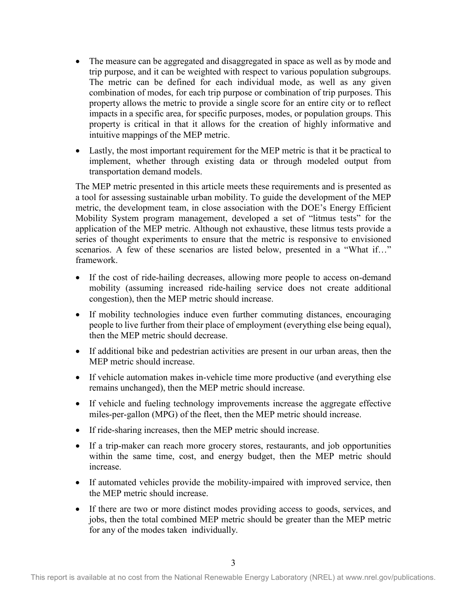- The measure can be aggregated and disaggregated in space as well as by mode and trip purpose, and it can be weighted with respect to various population subgroups. The metric can be defined for each individual mode, as well as any given combination of modes, for each trip purpose or combination of trip purposes. This property allows the metric to provide a single score for an entire city or to reflect impacts in a specific area, for specific purposes, modes, or population groups. This property is critical in that it allows for the creation of highly informative and intuitive mappings of the MEP metric.
- Lastly, the most important requirement for the MEP metric is that it be practical to implement, whether through existing data or through modeled output from transportation demand models.

The MEP metric presented in this article meets these requirements and is presented as a tool for assessing sustainable urban mobility. To guide the development of the MEP metric, the development team, in close association with the DOE's Energy Efficient Mobility System program management, developed a set of "litmus tests" for the application of the MEP metric. Although not exhaustive, these litmus tests provide a series of thought experiments to ensure that the metric is responsive to envisioned scenarios. A few of these scenarios are listed below, presented in a "What if…" framework.

- If the cost of ride-hailing decreases, allowing more people to access on-demand mobility (assuming increased ride-hailing service does not create additional congestion), then the MEP metric should increase.
- If mobility technologies induce even further commuting distances, encouraging people to live further from their place of employment (everything else being equal), then the MEP metric should decrease.
- If additional bike and pedestrian activities are present in our urban areas, then the MEP metric should increase.
- If vehicle automation makes in-vehicle time more productive (and everything else remains unchanged), then the MEP metric should increase.
- If vehicle and fueling technology improvements increase the aggregate effective miles-per-gallon (MPG) of the fleet, then the MEP metric should increase.
- If ride-sharing increases, then the MEP metric should increase.
- If a trip-maker can reach more grocery stores, restaurants, and job opportunities within the same time, cost, and energy budget, then the MEP metric should increase.
- If automated vehicles provide the mobility-impaired with improved service, then the MEP metric should increase.
- If there are two or more distinct modes providing access to goods, services, and jobs, then the total combined MEP metric should be greater than the MEP metric for any of the modes taken individually.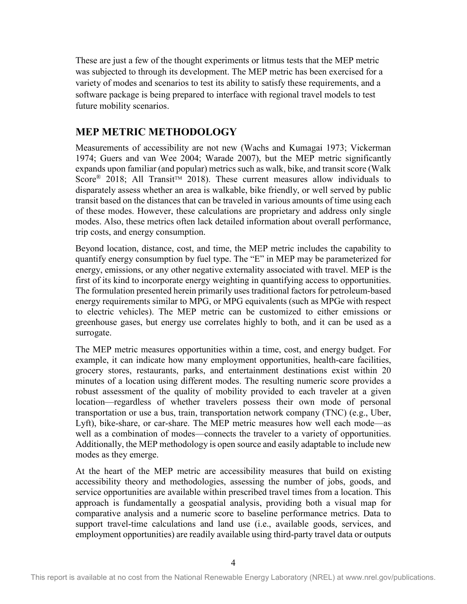These are just a few of the thought experiments or litmus tests that the MEP metric was subjected to through its development. The MEP metric has been exercised for a variety of modes and scenarios to test its ability to satisfy these requirements, and a software package is being prepared to interface with regional travel models to test future mobility scenarios.

#### **MEP METRIC METHODOLOGY**

Measurements of accessibility are not new (Wachs and Kumagai 1973; Vickerman 1974; Guers and van Wee 2004; Warade 2007), but the MEP metric significantly expands upon familiar (and popular) metrics such as walk, bike, and transit score (Walk Score<sup>®</sup> 2018; All Transit<sup>™</sup> 2018). These current measures allow individuals to disparately assess whether an area is walkable, bike friendly, or well served by public transit based on the distances that can be traveled in various amounts of time using each of these modes. However, these calculations are proprietary and address only single modes. Also, these metrics often lack detailed information about overall performance, trip costs, and energy consumption.

Beyond location, distance, cost, and time, the MEP metric includes the capability to quantify energy consumption by fuel type. The "E" in MEP may be parameterized for energy, emissions, or any other negative externality associated with travel. MEP is the first of its kind to incorporate energy weighting in quantifying access to opportunities. The formulation presented herein primarily uses traditional factors for petroleum-based energy requirements similar to MPG, or MPG equivalents (such as MPGe with respect to electric vehicles). The MEP metric can be customized to either emissions or greenhouse gases, but energy use correlates highly to both, and it can be used as a surrogate.

The MEP metric measures opportunities within a time, cost, and energy budget. For example, it can indicate how many employment opportunities, health-care facilities, grocery stores, restaurants, parks, and entertainment destinations exist within 20 minutes of a location using different modes. The resulting numeric score provides a robust assessment of the quality of mobility provided to each traveler at a given location—regardless of whether travelers possess their own mode of personal transportation or use a bus, train, transportation network company (TNC) (e.g., Uber, Lyft), bike-share, or car-share. The MEP metric measures how well each mode—as well as a combination of modes—connects the traveler to a variety of opportunities. Additionally, the MEP methodology is open source and easily adaptable to include new modes as they emerge.

At the heart of the MEP metric are accessibility measures that build on existing accessibility theory and methodologies, assessing the number of jobs, goods, and service opportunities are available within prescribed travel times from a location. This approach is fundamentally a geospatial analysis, providing both a visual map for comparative analysis and a numeric score to baseline performance metrics. Data to support travel-time calculations and land use (i.e., available goods, services, and employment opportunities) are readily available using third-party travel data or outputs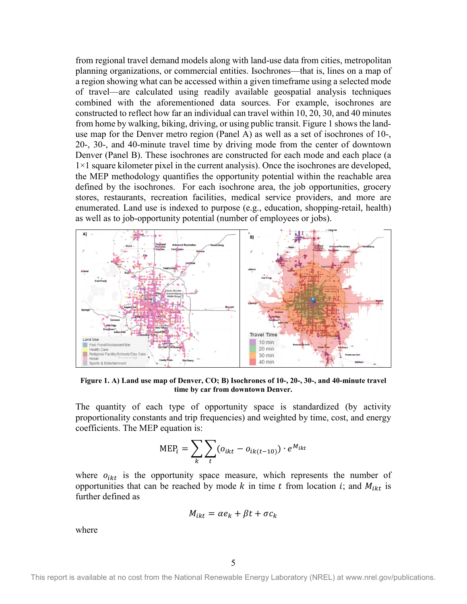from regional travel demand models along with land-use data from cities, metropolitan planning organizations, or commercial entities. Isochrones—that is, lines on a map of a region showing what can be accessed within a given timeframe using a selected mode of travel—are calculated using readily available geospatial analysis techniques combined with the aforementioned data sources. For example, isochrones are constructed to reflect how far an individual can travel within 10, 20, 30, and 40 minutes from home by walking, biking, driving, or using public transit. Figure 1 shows the landuse map for the Denver metro region (Panel A) as well as a set of isochrones of 10-, 20-, 30-, and 40-minute travel time by driving mode from the center of downtown Denver (Panel B). These isochrones are constructed for each mode and each place (a  $1\times1$  square kilometer pixel in the current analysis). Once the isochrones are developed, the MEP methodology quantifies the opportunity potential within the reachable area defined by the isochrones. For each isochrone area, the job opportunities, grocery stores, restaurants, recreation facilities, medical service providers, and more are enumerated. Land use is indexed to purpose (e.g., education, shopping-retail, health) as well as to job-opportunity potential (number of employees or jobs).



**Figure 1. A) Land use map of Denver, CO; B) Isochrones of 10-, 20-, 30-, and 40-minute travel time by car from downtown Denver.**

The quantity of each type of opportunity space is standardized (by activity proportionality constants and trip frequencies) and weighted by time, cost, and energy coefficients. The MEP equation is:

$$
MEP_i = \sum_{k} \sum_{t} (o_{ikt} - o_{ik(t-10)}) \cdot e^{M_{ikt}}
$$

where  $o_{ikt}$  is the opportunity space measure, which represents the number of opportunities that can be reached by mode  $k$  in time  $t$  from location  $i$ ; and  $M_{ikt}$  is further defined as

$$
M_{ikt} = \alpha e_k + \beta t + \sigma c_k
$$

where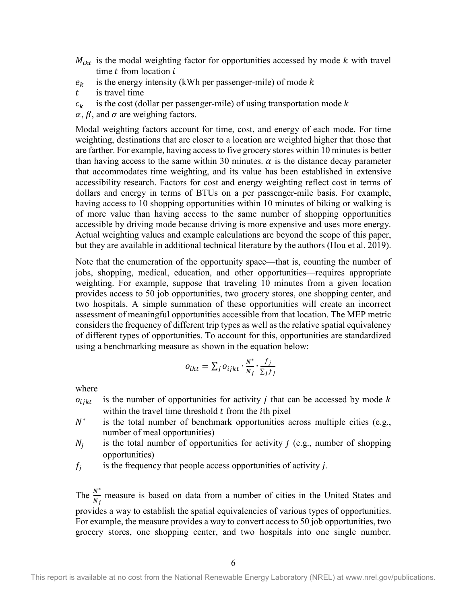- $M_{ikt}$  is the modal weighting factor for opportunities accessed by mode k with travel time  $t$  from location  $i$
- $e_k$  is the energy intensity (kWh per passenger-mile) of mode k
- $t$  is travel time
- $c_k$  is the cost (dollar per passenger-mile) of using transportation mode k
- $\alpha$ ,  $\beta$ , and  $\sigma$  are weighing factors.

Modal weighting factors account for time, cost, and energy of each mode. For time weighting, destinations that are closer to a location are weighted higher that those that are farther. For example, having access to five grocery stores within 10 minutes is better than having access to the same within 30 minutes.  $\alpha$  is the distance decay parameter that accommodates time weighting, and its value has been established in extensive accessibility research. Factors for cost and energy weighting reflect cost in terms of dollars and energy in terms of BTUs on a per passenger-mile basis. For example, having access to 10 shopping opportunities within 10 minutes of biking or walking is of more value than having access to the same number of shopping opportunities accessible by driving mode because driving is more expensive and uses more energy. Actual weighting values and example calculations are beyond the scope of this paper, but they are available in additional technical literature by the authors (Hou et al. 2019).

Note that the enumeration of the opportunity space—that is, counting the number of jobs, shopping, medical, education, and other opportunities—requires appropriate weighting. For example, suppose that traveling 10 minutes from a given location provides access to 50 job opportunities, two grocery stores, one shopping center, and two hospitals. A simple summation of these opportunities will create an incorrect assessment of meaningful opportunities accessible from that location. The MEP metric considers the frequency of different trip types as well as the relative spatial equivalency of different types of opportunities. To account for this, opportunities are standardized using a benchmarking measure as shown in the equation below:

$$
o_{ikt} = \sum_j o_{ijkt} \cdot \frac{N^*}{N_j} \cdot \frac{f_j}{\sum_j f_j}
$$

where

- $o_{iikt}$  is the number of opportunities for activity *j* that can be accessed by mode *k* within the travel time threshold  $t$  from the  $i$ th pixel
- $N^*$  is the total number of benchmark opportunities across multiple cities (e.g., number of meal opportunities)
- $N_i$  is the total number of opportunities for activity *j* (e.g., number of shopping opportunities)
- $f_i$  is the frequency that people access opportunities of activity *j*.

The  $\frac{N^*}{N}$  $N_{j}$ measure is based on data from a number of cities in the United States and

provides a way to establish the spatial equivalencies of various types of opportunities. For example, the measure provides a way to convert access to 50 job opportunities, two grocery stores, one shopping center, and two hospitals into one single number.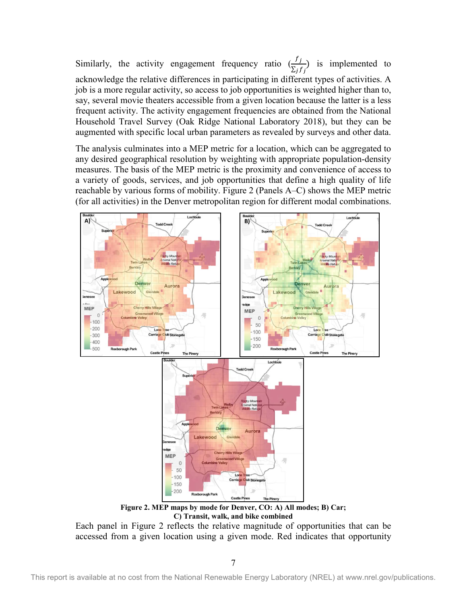Similarly, the activity engagement frequency ratio  $(\frac{f_j}{g}$  $\frac{f}{\sum_j f_j}$  is implemented to acknowledge the relative differences in participating in different types of activities. A job is a more regular activity, so access to job opportunities is weighted higher than to, say, several movie theaters accessible from a given location because the latter is a less frequent activity. The activity engagement frequencies are obtained from the National Household Travel Survey (Oak Ridge National Laboratory 2018), but they can be augmented with specific local urban parameters as revealed by surveys and other data.

The analysis culminates into a MEP metric for a location, which can be aggregated to any desired geographical resolution by weighting with appropriate population-density measures. The basis of the MEP metric is the proximity and convenience of access to a variety of goods, services, and job opportunities that define a high quality of life reachable by various forms of mobility. Figure 2 (Panels A–C) shows the MEP metric (for all activities) in the Denver metropolitan region for different modal combinations.



**C) Transit, walk, and bike combined**

Each panel in Figure 2 reflects the relative magnitude of opportunities that can be accessed from a given location using a given mode. Red indicates that opportunity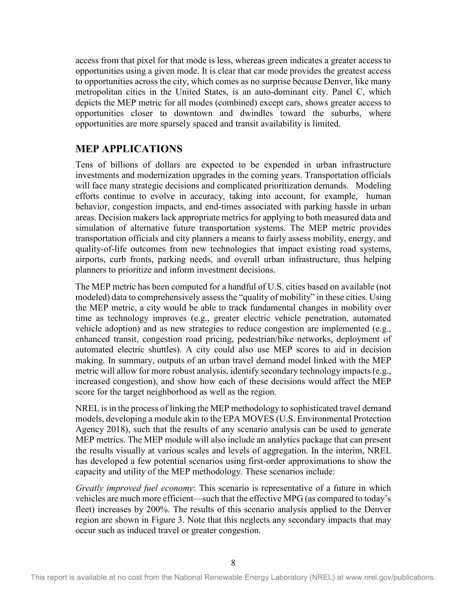access from that pixel for that mode is less, whereas green indicates a greater access to opportunities using a given mode. It is clear that car mode provides the greatest access to opportunities across the city, which comes as no surprise because Denver, like many metropolitan cities in the United States, is an auto-dominant city. Panel C, which depicts the MEP metric for all modes (combined) except cars, shows greater access to opportunities closer to downtown and dwindles toward the suburbs, where opportunities are more sparsely spaced and transit availability is limited.

#### **MEP APPLICATIONS**

Tens of billions of dollars are expected to be expended in urban infrastructure investments and modernization upgrades in the coming years. Transportation officials will face many strategic decisions and complicated prioritization demands. Modeling efforts continue to evolve in accuracy, taking into account, for example, human behavior, congestion impacts, and end-times associated with parking hassle in urban areas. Decision makers lack appropriate metrics for applying to both measured data and simulation of alternative future transportation systems. The MEP metric provides transportation officials and city planners a means to fairly assess mobility, energy, and quality-of-life outcomes from new technologies that impact existing road systems, airports, curb fronts, parking needs, and overall urban infrastructure, thus helping planners to prioritize and inform investment decisions.

The MEP metric has been computed for a handful of U.S. cities based on available (not modeled) data to comprehensively assess the "quality of mobility" in these cities. Using the MEP metric, a city would be able to track fundamental changes in mobility over time as technology improves (e.g., greater electric vehicle penetration, automated vehicle adoption) and as new strategies to reduce congestion are implemented (e.g., enhanced transit, congestion road pricing, pedestrian/bike networks, deployment of automated electric shuttles). A city could also use MEP scores to aid in decision making. In summary, outputs of an urban travel demand model linked with the MEP metric will allow for more robust analysis, identify secondary technology impacts (e.g., increased congestion), and show how each of these decisions would affect the MEP score for the target neighborhood as well as the region.

NREL is in the process of linking the MEP methodology to sophisticated travel demand models, developing a module akin to the EPA MOVES (U.S. Environmental Protection Agency 2018), such that the results of any scenario analysis can be used to generate MEP metrics. The MEP module will also include an analytics package that can present the results visually at various scales and levels of aggregation. In the interim, NREL has developed a few potential scenarios using first-order approximations to show the capacity and utility of the MEP methodology. These scenarios include:

*Greatly improved fuel economy*: This scenario is representative of a future in which vehicles are much more efficient—such that the effective MPG (as compared to today's fleet) increases by 200%. The results of this scenario analysis applied to the Denver region are shown in Figure 3. Note that this neglects any secondary impacts that may occur such as induced travel or greater congestion.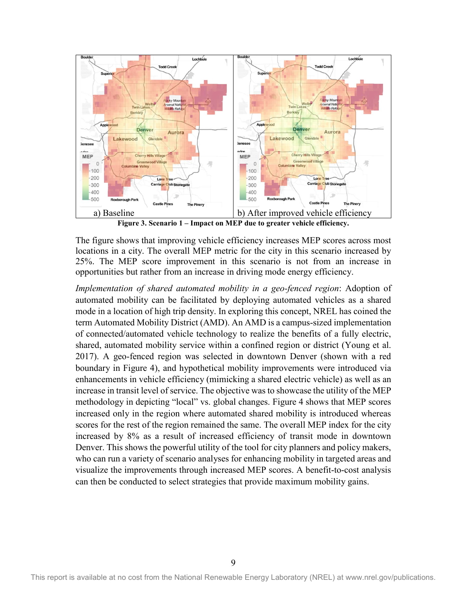

**Figure 3. Scenario 1 – Impact on MEP due to greater vehicle efficiency.**

The figure shows that improving vehicle efficiency increases MEP scores across most locations in a city. The overall MEP metric for the city in this scenario increased by 25%. The MEP score improvement in this scenario is not from an increase in opportunities but rather from an increase in driving mode energy efficiency.

*Implementation of shared automated mobility in a geo-fenced region*: Adoption of automated mobility can be facilitated by deploying automated vehicles as a shared mode in a location of high trip density. In exploring this concept, NREL has coined the term Automated Mobility District (AMD). An AMD is a campus-sized implementation of connected/automated vehicle technology to realize the benefits of a fully electric, shared, automated mobility service within a confined region or district (Young et al. 2017). A geo-fenced region was selected in downtown Denver (shown with a red boundary in Figure 4), and hypothetical mobility improvements were introduced via enhancements in vehicle efficiency (mimicking a shared electric vehicle) as well as an increase in transit level of service. The objective was to showcase the utility of the MEP methodology in depicting "local" vs. global changes. Figure 4 shows that MEP scores increased only in the region where automated shared mobility is introduced whereas scores for the rest of the region remained the same. The overall MEP index for the city increased by 8% as a result of increased efficiency of transit mode in downtown Denver. This shows the powerful utility of the tool for city planners and policy makers, who can run a variety of scenario analyses for enhancing mobility in targeted areas and visualize the improvements through increased MEP scores. A benefit-to-cost analysis can then be conducted to select strategies that provide maximum mobility gains.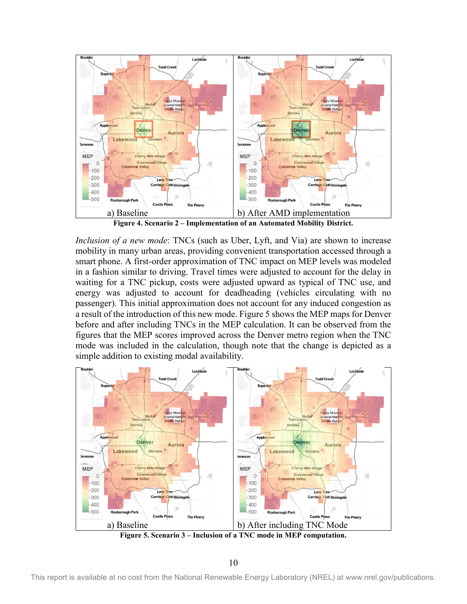

**Figure 4. Scenario 2 – Implementation of an Automated Mobility District.**

*Inclusion of a new mode*: TNCs (such as Uber, Lyft, and Via) are shown to increase mobility in many urban areas, providing convenient transportation accessed through a smart phone. A first-order approximation of TNC impact on MEP levels was modeled in a fashion similar to driving. Travel times were adjusted to account for the delay in waiting for a TNC pickup, costs were adjusted upward as typical of TNC use, and energy was adjusted to account for deadheading (vehicles circulating with no passenger). This initial approximation does not account for any induced congestion as a result of the introduction of this new mode. Figure 5 shows the MEP maps for Denver before and after including TNCs in the MEP calculation. It can be observed from the figures that the MEP scores improved across the Denver metro region when the TNC mode was included in the calculation, though note that the change is depicted as a simple addition to existing modal availability.



**Figure 5. Scenario 3 – Inclusion of a TNC mode in MEP computation.**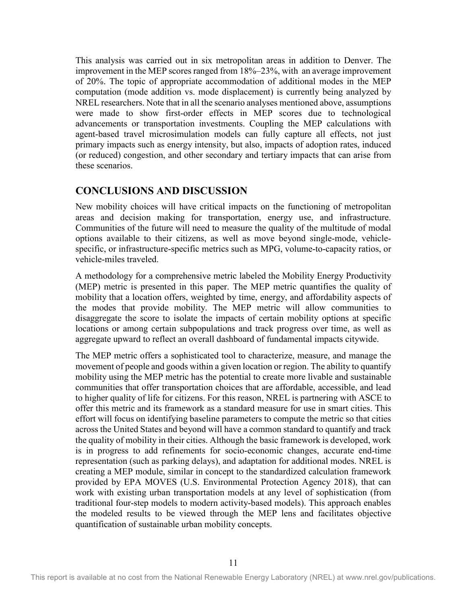This analysis was carried out in six metropolitan areas in addition to Denver. The improvement in the MEP scores ranged from 18%–23%, with an average improvement of 20%. The topic of appropriate accommodation of additional modes in the MEP computation (mode addition vs. mode displacement) is currently being analyzed by NREL researchers. Note that in all the scenario analyses mentioned above, assumptions were made to show first-order effects in MEP scores due to technological advancements or transportation investments. Coupling the MEP calculations with agent-based travel microsimulation models can fully capture all effects, not just primary impacts such as energy intensity, but also, impacts of adoption rates, induced (or reduced) congestion, and other secondary and tertiary impacts that can arise from these scenarios.

#### **CONCLUSIONS AND DISCUSSION**

New mobility choices will have critical impacts on the functioning of metropolitan areas and decision making for transportation, energy use, and infrastructure. Communities of the future will need to measure the quality of the multitude of modal options available to their citizens, as well as move beyond single-mode, vehiclespecific, or infrastructure-specific metrics such as MPG, volume-to-capacity ratios, or vehicle-miles traveled.

A methodology for a comprehensive metric labeled the Mobility Energy Productivity (MEP) metric is presented in this paper. The MEP metric quantifies the quality of mobility that a location offers, weighted by time, energy, and affordability aspects of the modes that provide mobility. The MEP metric will allow communities to disaggregate the score to isolate the impacts of certain mobility options at specific locations or among certain subpopulations and track progress over time, as well as aggregate upward to reflect an overall dashboard of fundamental impacts citywide.

The MEP metric offers a sophisticated tool to characterize, measure, and manage the movement of people and goods within a given location or region. The ability to quantify mobility using the MEP metric has the potential to create more livable and sustainable communities that offer transportation choices that are affordable, accessible, and lead to higher quality of life for citizens. For this reason, NREL is partnering with ASCE to offer this metric and its framework as a standard measure for use in smart cities. This effort will focus on identifying baseline parameters to compute the metric so that cities across the United States and beyond will have a common standard to quantify and track the quality of mobility in their cities. Although the basic framework is developed, work is in progress to add refinements for socio-economic changes, accurate end-time representation (such as parking delays), and adaptation for additional modes. NREL is creating a MEP module, similar in concept to the standardized calculation framework provided by EPA MOVES (U.S. Environmental Protection Agency 2018), that can work with existing urban transportation models at any level of sophistication (from traditional four-step models to modern activity-based models). This approach enables the modeled results to be viewed through the MEP lens and facilitates objective quantification of sustainable urban mobility concepts.